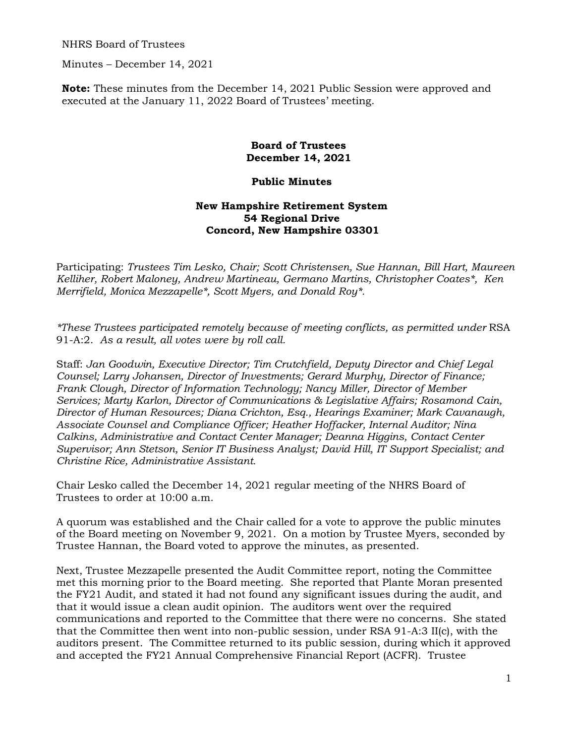NHRS Board of Trustees

Minutes – December 14, 2021

**Note:** These minutes from the December 14, 2021 Public Session were approved and executed at the January 11, 2022 Board of Trustees' meeting.

## **Board of Trustees December 14, 2021**

## **Public Minutes**

## **New Hampshire Retirement System 54 Regional Drive Concord, New Hampshire 03301**

Participating: *Trustees Tim Lesko, Chair; Scott Christensen, Sue Hannan, Bill Hart, Maureen Kelliher, Robert Maloney, Andrew Martineau, Germano Martins, Christopher Coates\*, Ken Merrifield, Monica Mezzapelle\*, Scott Myers, and Donald Roy\*.* 

*\*These Trustees participated remotely because of meeting conflicts, as permitted under* RSA 91-A:2. *As a result, all votes were by roll call.* 

Staff: *Jan Goodwin, Executive Director; Tim Crutchfield, Deputy Director and Chief Legal Counsel; Larry Johansen, Director of Investments; Gerard Murphy, Director of Finance; Frank Clough, Director of Information Technology; Nancy Miller, Director of Member Services; Marty Karlon, Director of Communications & Legislative Affairs; Rosamond Cain, Director of Human Resources; Diana Crichton, Esq., Hearings Examiner; Mark Cavanaugh, Associate Counsel and Compliance Officer; Heather Hoffacker, Internal Auditor; Nina Calkins, Administrative and Contact Center Manager; Deanna Higgins, Contact Center Supervisor; Ann Stetson, Senior IT Business Analyst; David Hill, IT Support Specialist; and Christine Rice, Administrative Assistant.* 

Chair Lesko called the December 14, 2021 regular meeting of the NHRS Board of Trustees to order at 10:00 a.m.

A quorum was established and the Chair called for a vote to approve the public minutes of the Board meeting on November 9, 2021. On a motion by Trustee Myers, seconded by Trustee Hannan, the Board voted to approve the minutes, as presented.

Next, Trustee Mezzapelle presented the Audit Committee report, noting the Committee met this morning prior to the Board meeting. She reported that Plante Moran presented the FY21 Audit, and stated it had not found any significant issues during the audit, and that it would issue a clean audit opinion. The auditors went over the required communications and reported to the Committee that there were no concerns. She stated that the Committee then went into non-public session, under RSA 91-A:3 II(c), with the auditors present. The Committee returned to its public session, during which it approved and accepted the FY21 Annual Comprehensive Financial Report (ACFR). Trustee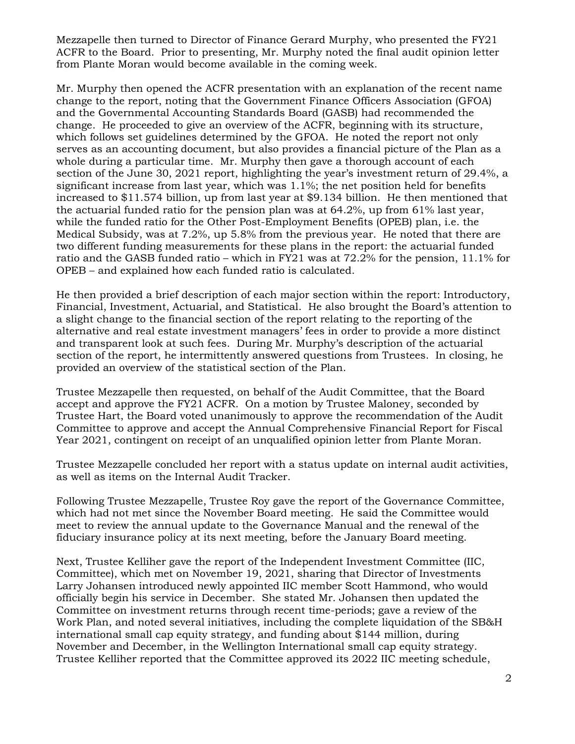Mezzapelle then turned to Director of Finance Gerard Murphy, who presented the FY21 ACFR to the Board. Prior to presenting, Mr. Murphy noted the final audit opinion letter from Plante Moran would become available in the coming week.

Mr. Murphy then opened the ACFR presentation with an explanation of the recent name change to the report, noting that the Government Finance Officers Association (GFOA) and the Governmental Accounting Standards Board (GASB) had recommended the change. He proceeded to give an overview of the ACFR, beginning with its structure, which follows set guidelines determined by the GFOA. He noted the report not only serves as an accounting document, but also provides a financial picture of the Plan as a whole during a particular time. Mr. Murphy then gave a thorough account of each section of the June 30, 2021 report, highlighting the year's investment return of 29.4%, a significant increase from last year, which was 1.1%; the net position held for benefits increased to \$11.574 billion, up from last year at \$9.134 billion. He then mentioned that the actuarial funded ratio for the pension plan was at 64.2%, up from 61% last year, while the funded ratio for the Other Post-Employment Benefits (OPEB) plan, i.e. the Medical Subsidy, was at 7.2%, up 5.8% from the previous year. He noted that there are two different funding measurements for these plans in the report: the actuarial funded ratio and the GASB funded ratio – which in FY21 was at 72.2% for the pension, 11.1% for OPEB – and explained how each funded ratio is calculated.

He then provided a brief description of each major section within the report: Introductory, Financial, Investment, Actuarial, and Statistical. He also brought the Board's attention to a slight change to the financial section of the report relating to the reporting of the alternative and real estate investment managers' fees in order to provide a more distinct and transparent look at such fees. During Mr. Murphy's description of the actuarial section of the report, he intermittently answered questions from Trustees. In closing, he provided an overview of the statistical section of the Plan.

Trustee Mezzapelle then requested, on behalf of the Audit Committee, that the Board accept and approve the FY21 ACFR. On a motion by Trustee Maloney, seconded by Trustee Hart, the Board voted unanimously to approve the recommendation of the Audit Committee to approve and accept the Annual Comprehensive Financial Report for Fiscal Year 2021, contingent on receipt of an unqualified opinion letter from Plante Moran.

Trustee Mezzapelle concluded her report with a status update on internal audit activities, as well as items on the Internal Audit Tracker.

Following Trustee Mezzapelle, Trustee Roy gave the report of the Governance Committee, which had not met since the November Board meeting. He said the Committee would meet to review the annual update to the Governance Manual and the renewal of the fiduciary insurance policy at its next meeting, before the January Board meeting.

Next, Trustee Kelliher gave the report of the Independent Investment Committee (IIC, Committee), which met on November 19, 2021, sharing that Director of Investments Larry Johansen introduced newly appointed IIC member Scott Hammond, who would officially begin his service in December. She stated Mr. Johansen then updated the Committee on investment returns through recent time-periods; gave a review of the Work Plan, and noted several initiatives, including the complete liquidation of the SB&H international small cap equity strategy, and funding about \$144 million, during November and December, in the Wellington International small cap equity strategy. Trustee Kelliher reported that the Committee approved its 2022 IIC meeting schedule,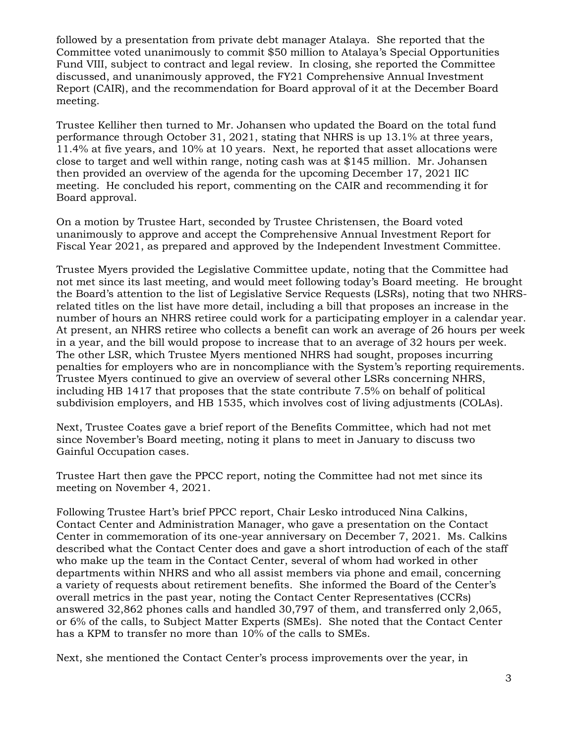followed by a presentation from private debt manager Atalaya. She reported that the Committee voted unanimously to commit \$50 million to Atalaya's Special Opportunities Fund VIII, subject to contract and legal review. In closing, she reported the Committee discussed, and unanimously approved, the FY21 Comprehensive Annual Investment Report (CAIR), and the recommendation for Board approval of it at the December Board meeting.

Trustee Kelliher then turned to Mr. Johansen who updated the Board on the total fund performance through October 31, 2021, stating that NHRS is up 13.1% at three years, 11.4% at five years, and 10% at 10 years. Next, he reported that asset allocations were close to target and well within range, noting cash was at \$145 million. Mr. Johansen then provided an overview of the agenda for the upcoming December 17, 2021 IIC meeting. He concluded his report, commenting on the CAIR and recommending it for Board approval.

On a motion by Trustee Hart, seconded by Trustee Christensen, the Board voted unanimously to approve and accept the Comprehensive Annual Investment Report for Fiscal Year 2021, as prepared and approved by the Independent Investment Committee.

Trustee Myers provided the Legislative Committee update, noting that the Committee had not met since its last meeting, and would meet following today's Board meeting. He brought the Board's attention to the list of Legislative Service Requests (LSRs), noting that two NHRSrelated titles on the list have more detail, including a bill that proposes an increase in the number of hours an NHRS retiree could work for a participating employer in a calendar year. At present, an NHRS retiree who collects a benefit can work an average of 26 hours per week in a year, and the bill would propose to increase that to an average of 32 hours per week. The other LSR, which Trustee Myers mentioned NHRS had sought, proposes incurring penalties for employers who are in noncompliance with the System's reporting requirements. Trustee Myers continued to give an overview of several other LSRs concerning NHRS, including HB 1417 that proposes that the state contribute 7.5% on behalf of political subdivision employers, and HB 1535, which involves cost of living adjustments (COLAs).

Next, Trustee Coates gave a brief report of the Benefits Committee, which had not met since November's Board meeting, noting it plans to meet in January to discuss two Gainful Occupation cases.

Trustee Hart then gave the PPCC report, noting the Committee had not met since its meeting on November 4, 2021.

Following Trustee Hart's brief PPCC report, Chair Lesko introduced Nina Calkins, Contact Center and Administration Manager, who gave a presentation on the Contact Center in commemoration of its one-year anniversary on December 7, 2021. Ms. Calkins described what the Contact Center does and gave a short introduction of each of the staff who make up the team in the Contact Center, several of whom had worked in other departments within NHRS and who all assist members via phone and email, concerning a variety of requests about retirement benefits. She informed the Board of the Center's overall metrics in the past year, noting the Contact Center Representatives (CCRs) answered 32,862 phones calls and handled 30,797 of them, and transferred only 2,065, or 6% of the calls, to Subject Matter Experts (SMEs). She noted that the Contact Center has a KPM to transfer no more than 10% of the calls to SMEs.

Next, she mentioned the Contact Center's process improvements over the year, in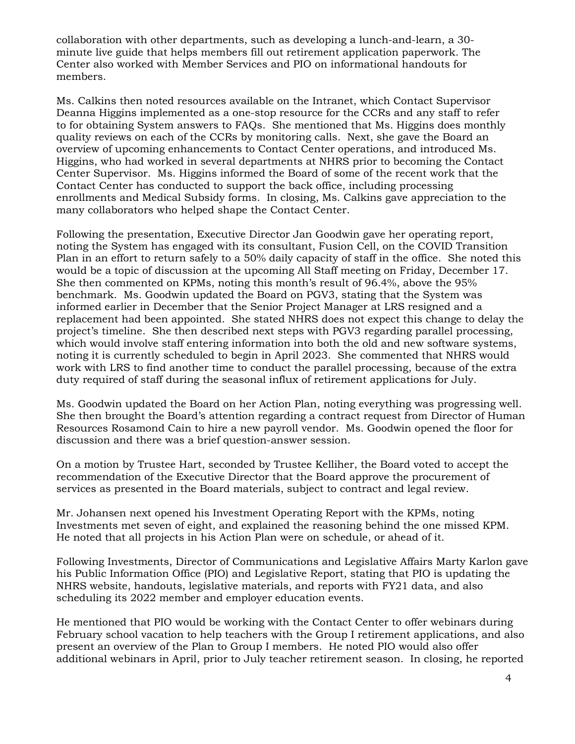collaboration with other departments, such as developing a lunch-and-learn, a 30 minute live guide that helps members fill out retirement application paperwork. The Center also worked with Member Services and PIO on informational handouts for members.

Ms. Calkins then noted resources available on the Intranet, which Contact Supervisor Deanna Higgins implemented as a one-stop resource for the CCRs and any staff to refer to for obtaining System answers to FAQs. She mentioned that Ms. Higgins does monthly quality reviews on each of the CCRs by monitoring calls. Next, she gave the Board an overview of upcoming enhancements to Contact Center operations, and introduced Ms. Higgins, who had worked in several departments at NHRS prior to becoming the Contact Center Supervisor. Ms. Higgins informed the Board of some of the recent work that the Contact Center has conducted to support the back office, including processing enrollments and Medical Subsidy forms. In closing, Ms. Calkins gave appreciation to the many collaborators who helped shape the Contact Center.

Following the presentation, Executive Director Jan Goodwin gave her operating report, noting the System has engaged with its consultant, Fusion Cell, on the COVID Transition Plan in an effort to return safely to a 50% daily capacity of staff in the office. She noted this would be a topic of discussion at the upcoming All Staff meeting on Friday, December 17. She then commented on KPMs, noting this month's result of 96.4%, above the 95% benchmark. Ms. Goodwin updated the Board on PGV3, stating that the System was informed earlier in December that the Senior Project Manager at LRS resigned and a replacement had been appointed. She stated NHRS does not expect this change to delay the project's timeline. She then described next steps with PGV3 regarding parallel processing, which would involve staff entering information into both the old and new software systems, noting it is currently scheduled to begin in April 2023. She commented that NHRS would work with LRS to find another time to conduct the parallel processing, because of the extra duty required of staff during the seasonal influx of retirement applications for July.

Ms. Goodwin updated the Board on her Action Plan, noting everything was progressing well. She then brought the Board's attention regarding a contract request from Director of Human Resources Rosamond Cain to hire a new payroll vendor. Ms. Goodwin opened the floor for discussion and there was a brief question-answer session.

On a motion by Trustee Hart, seconded by Trustee Kelliher, the Board voted to accept the recommendation of the Executive Director that the Board approve the procurement of services as presented in the Board materials, subject to contract and legal review.

Mr. Johansen next opened his Investment Operating Report with the KPMs, noting Investments met seven of eight, and explained the reasoning behind the one missed KPM. He noted that all projects in his Action Plan were on schedule, or ahead of it.

Following Investments, Director of Communications and Legislative Affairs Marty Karlon gave his Public Information Office (PIO) and Legislative Report, stating that PIO is updating the NHRS website, handouts, legislative materials, and reports with FY21 data, and also scheduling its 2022 member and employer education events.

He mentioned that PIO would be working with the Contact Center to offer webinars during February school vacation to help teachers with the Group I retirement applications, and also present an overview of the Plan to Group I members. He noted PIO would also offer additional webinars in April, prior to July teacher retirement season. In closing, he reported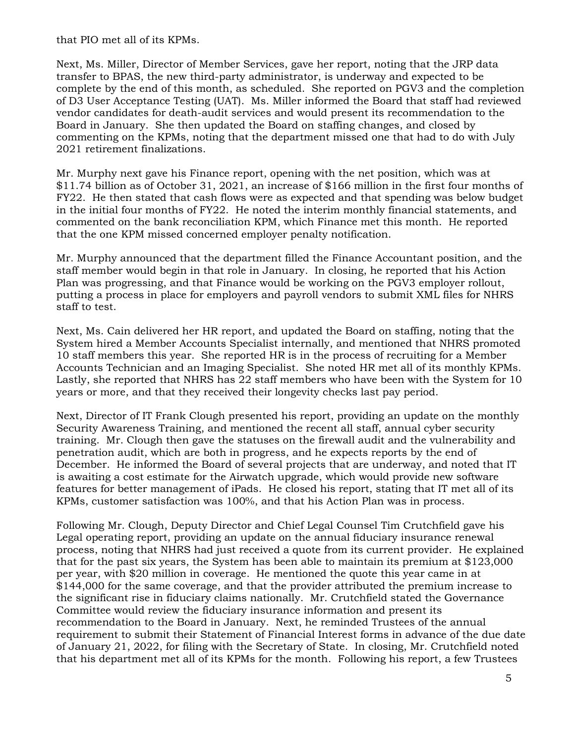that PIO met all of its KPMs.

Next, Ms. Miller, Director of Member Services, gave her report, noting that the JRP data transfer to BPAS, the new third-party administrator, is underway and expected to be complete by the end of this month, as scheduled. She reported on PGV3 and the completion of D3 User Acceptance Testing (UAT). Ms. Miller informed the Board that staff had reviewed vendor candidates for death-audit services and would present its recommendation to the Board in January. She then updated the Board on staffing changes, and closed by commenting on the KPMs, noting that the department missed one that had to do with July 2021 retirement finalizations.

Mr. Murphy next gave his Finance report, opening with the net position, which was at \$11.74 billion as of October 31, 2021, an increase of \$166 million in the first four months of FY22. He then stated that cash flows were as expected and that spending was below budget in the initial four months of FY22. He noted the interim monthly financial statements, and commented on the bank reconciliation KPM, which Finance met this month. He reported that the one KPM missed concerned employer penalty notification.

Mr. Murphy announced that the department filled the Finance Accountant position, and the staff member would begin in that role in January. In closing, he reported that his Action Plan was progressing, and that Finance would be working on the PGV3 employer rollout, putting a process in place for employers and payroll vendors to submit XML files for NHRS staff to test.

Next, Ms. Cain delivered her HR report, and updated the Board on staffing, noting that the System hired a Member Accounts Specialist internally, and mentioned that NHRS promoted 10 staff members this year. She reported HR is in the process of recruiting for a Member Accounts Technician and an Imaging Specialist. She noted HR met all of its monthly KPMs. Lastly, she reported that NHRS has 22 staff members who have been with the System for 10 years or more, and that they received their longevity checks last pay period.

Next, Director of IT Frank Clough presented his report, providing an update on the monthly Security Awareness Training, and mentioned the recent all staff, annual cyber security training. Mr. Clough then gave the statuses on the firewall audit and the vulnerability and penetration audit, which are both in progress, and he expects reports by the end of December. He informed the Board of several projects that are underway, and noted that IT is awaiting a cost estimate for the Airwatch upgrade, which would provide new software features for better management of iPads. He closed his report, stating that IT met all of its KPMs, customer satisfaction was 100%, and that his Action Plan was in process.

Following Mr. Clough, Deputy Director and Chief Legal Counsel Tim Crutchfield gave his Legal operating report, providing an update on the annual fiduciary insurance renewal process, noting that NHRS had just received a quote from its current provider. He explained that for the past six years, the System has been able to maintain its premium at \$123,000 per year, with \$20 million in coverage. He mentioned the quote this year came in at \$144,000 for the same coverage, and that the provider attributed the premium increase to the significant rise in fiduciary claims nationally. Mr. Crutchfield stated the Governance Committee would review the fiduciary insurance information and present its recommendation to the Board in January. Next, he reminded Trustees of the annual requirement to submit their Statement of Financial Interest forms in advance of the due date of January 21, 2022, for filing with the Secretary of State. In closing, Mr. Crutchfield noted that his department met all of its KPMs for the month. Following his report, a few Trustees